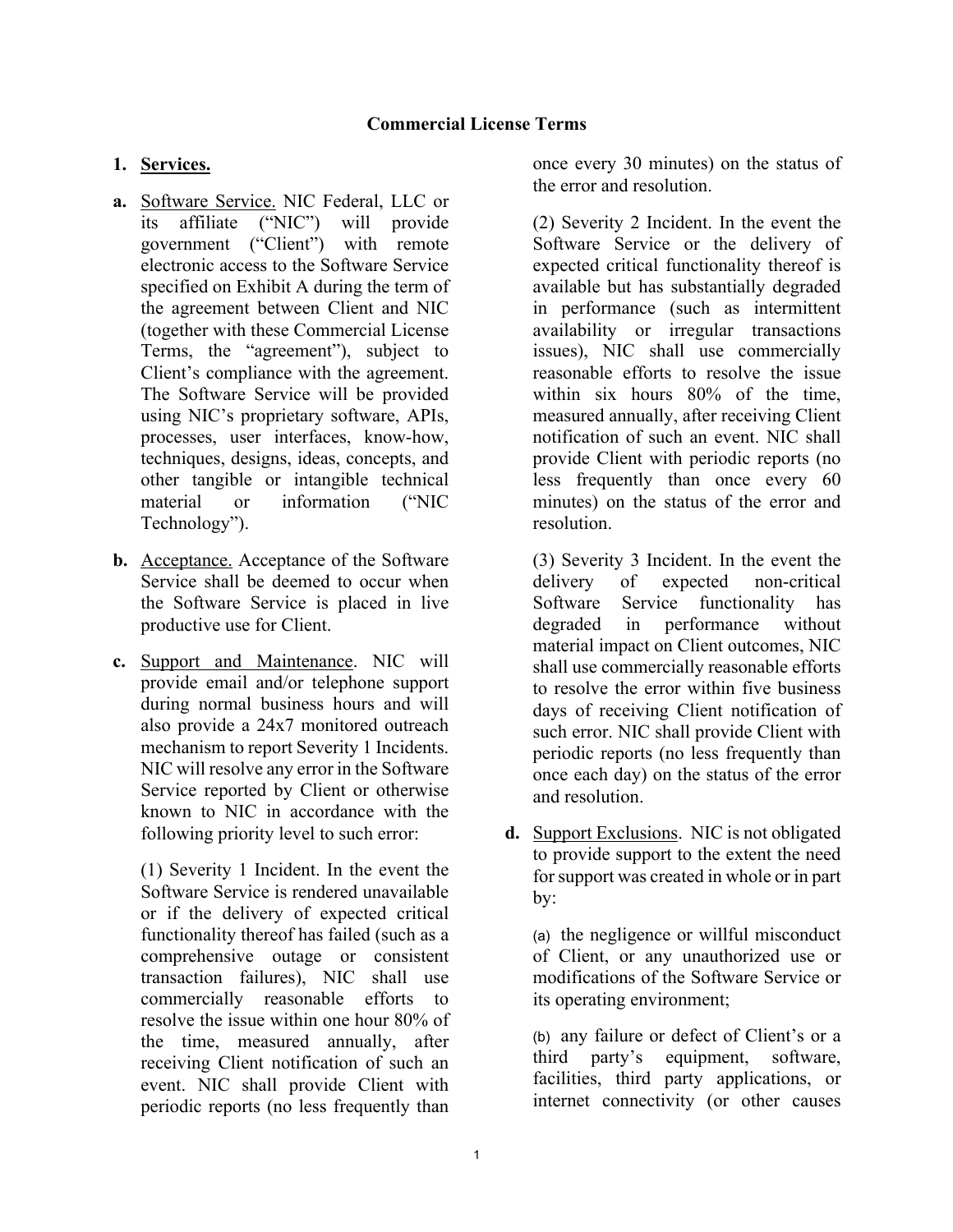## **1. Services.**

- **a.** Software Service. NIC Federal, LLC or its affiliate ("NIC") will provide government ("Client") with remote electronic access to the Software Service specified on Exhibit A during the term of the agreement between Client and NIC (together with these Commercial License Terms, the "agreement"), subject to Client's compliance with the agreement. The Software Service will be provided using NIC's proprietary software, APIs, processes, user interfaces, know-how, techniques, designs, ideas, concepts, and other tangible or intangible technical material or information ("NIC Technology").
- **b.** Acceptance. Acceptance of the Software Service shall be deemed to occur when the Software Service is placed in live productive use for Client.
- **c.** Support and Maintenance. NIC will provide email and/or telephone support during normal business hours and will also provide a 24x7 monitored outreach mechanism to report Severity 1 Incidents. NIC will resolve any error in the Software Service reported by Client or otherwise known to NIC in accordance with the following priority level to such error:

(1) Severity 1 Incident. In the event the Software Service is rendered unavailable or if the delivery of expected critical functionality thereof has failed (such as a comprehensive outage or consistent transaction failures), NIC shall use commercially reasonable efforts to resolve the issue within one hour 80% of the time, measured annually, after receiving Client notification of such an event. NIC shall provide Client with periodic reports (no less frequently than

once every 30 minutes) on the status of the error and resolution.

(2) Severity 2 Incident. In the event the Software Service or the delivery of expected critical functionality thereof is available but has substantially degraded in performance (such as intermittent availability or irregular transactions issues), NIC shall use commercially reasonable efforts to resolve the issue within six hours 80% of the time, measured annually, after receiving Client notification of such an event. NIC shall provide Client with periodic reports (no less frequently than once every 60 minutes) on the status of the error and resolution.

(3) Severity 3 Incident. In the event the delivery of expected non-critical Software Service functionality has degraded in performance without material impact on Client outcomes, NIC shall use commercially reasonable efforts to resolve the error within five business days of receiving Client notification of such error. NIC shall provide Client with periodic reports (no less frequently than once each day) on the status of the error and resolution.

**d.** Support Exclusions. NIC is not obligated to provide support to the extent the need for support was created in whole or in part by:

(a) the negligence or willful misconduct of Client, or any unauthorized use or modifications of the Software Service or its operating environment;

(b) any failure or defect of Client's or a third party's equipment, software, facilities, third party applications, or internet connectivity (or other causes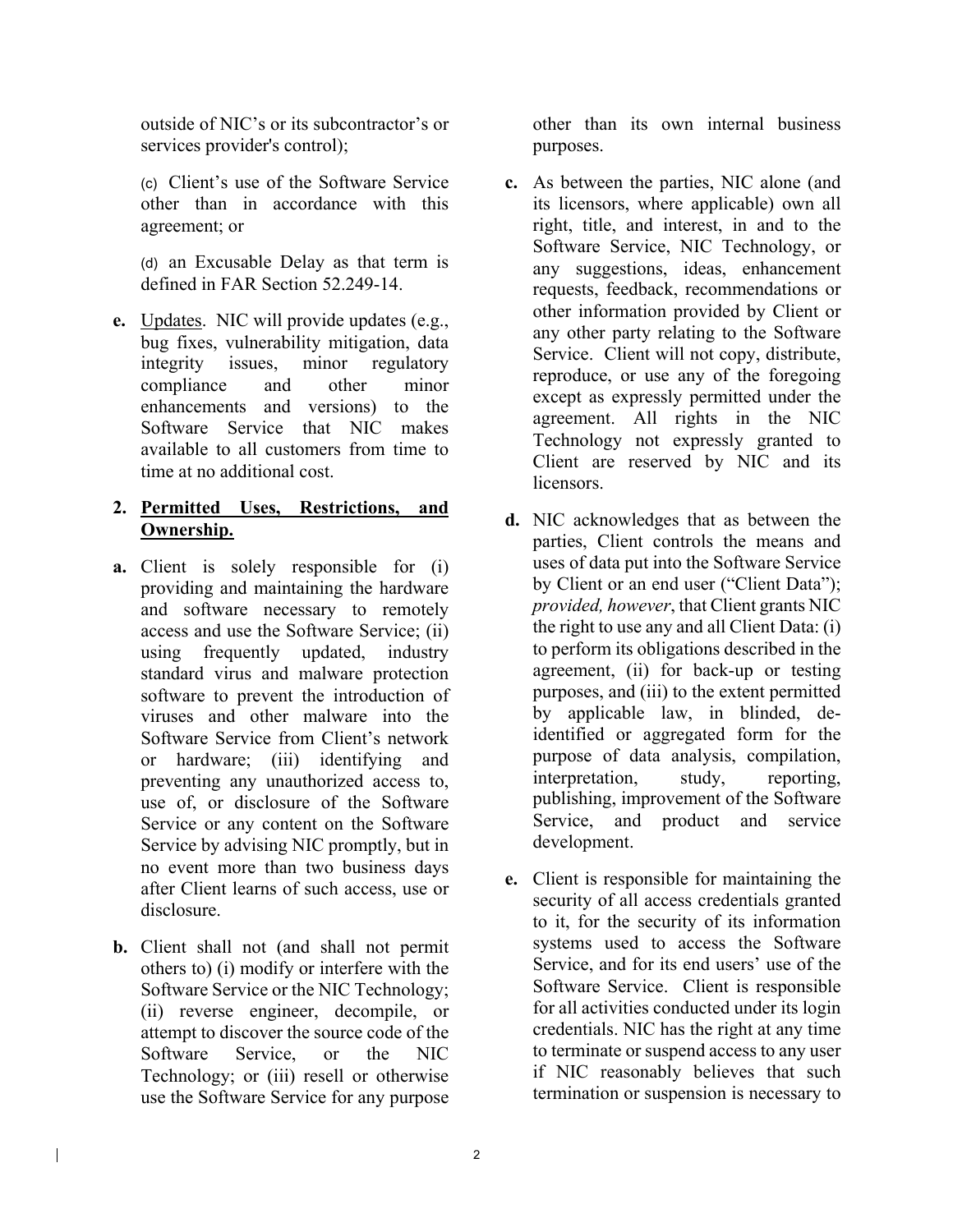outside of NIC's or its subcontractor's or services provider's control);

(c) Client's use of the Software Service other than in accordance with this agreement; or

(d) an Excusable Delay as that term is defined in FAR Section 52.249-14.

**e.** Updates. NIC will provide updates (e.g., bug fixes, vulnerability mitigation, data integrity issues, minor regulatory compliance and other minor enhancements and versions) to the Software Service that NIC makes available to all customers from time to time at no additional cost.

## **2. Permitted Uses, Restrictions, and Ownership.**

- **a.** Client is solely responsible for (i) providing and maintaining the hardware and software necessary to remotely access and use the Software Service; (ii) using frequently updated, industry standard virus and malware protection software to prevent the introduction of viruses and other malware into the Software Service from Client's network or hardware; (iii) identifying and preventing any unauthorized access to, use of, or disclosure of the Software Service or any content on the Software Service by advising NIC promptly, but in no event more than two business days after Client learns of such access, use or disclosure.
- **b.** Client shall not (and shall not permit others to) (i) modify or interfere with the Software Service or the NIC Technology; (ii) reverse engineer, decompile, or attempt to discover the source code of the Software Service, or the NIC Technology; or (iii) resell or otherwise use the Software Service for any purpose

 $\mathsf{l}$ 

other than its own internal business purposes.

- **c.** As between the parties, NIC alone (and its licensors, where applicable) own all right, title, and interest, in and to the Software Service, NIC Technology, or any suggestions, ideas, enhancement requests, feedback, recommendations or other information provided by Client or any other party relating to the Software Service. Client will not copy, distribute, reproduce, or use any of the foregoing except as expressly permitted under the agreement. All rights in the NIC Technology not expressly granted to Client are reserved by NIC and its licensors.
- **d.** NIC acknowledges that as between the parties, Client controls the means and uses of data put into the Software Service by Client or an end user ("Client Data"); *provided, however*, that Client grants NIC the right to use any and all Client Data: (i) to perform its obligations described in the agreement, (ii) for back-up or testing purposes, and (iii) to the extent permitted by applicable law, in blinded, deidentified or aggregated form for the purpose of data analysis, compilation, interpretation, study, reporting, publishing, improvement of the Software Service, and product and service development.
- **e.** Client is responsible for maintaining the security of all access credentials granted to it, for the security of its information systems used to access the Software Service, and for its end users' use of the Software Service. Client is responsible for all activities conducted under its login credentials. NIC has the right at any time to terminate or suspend access to any user if NIC reasonably believes that such termination or suspension is necessary to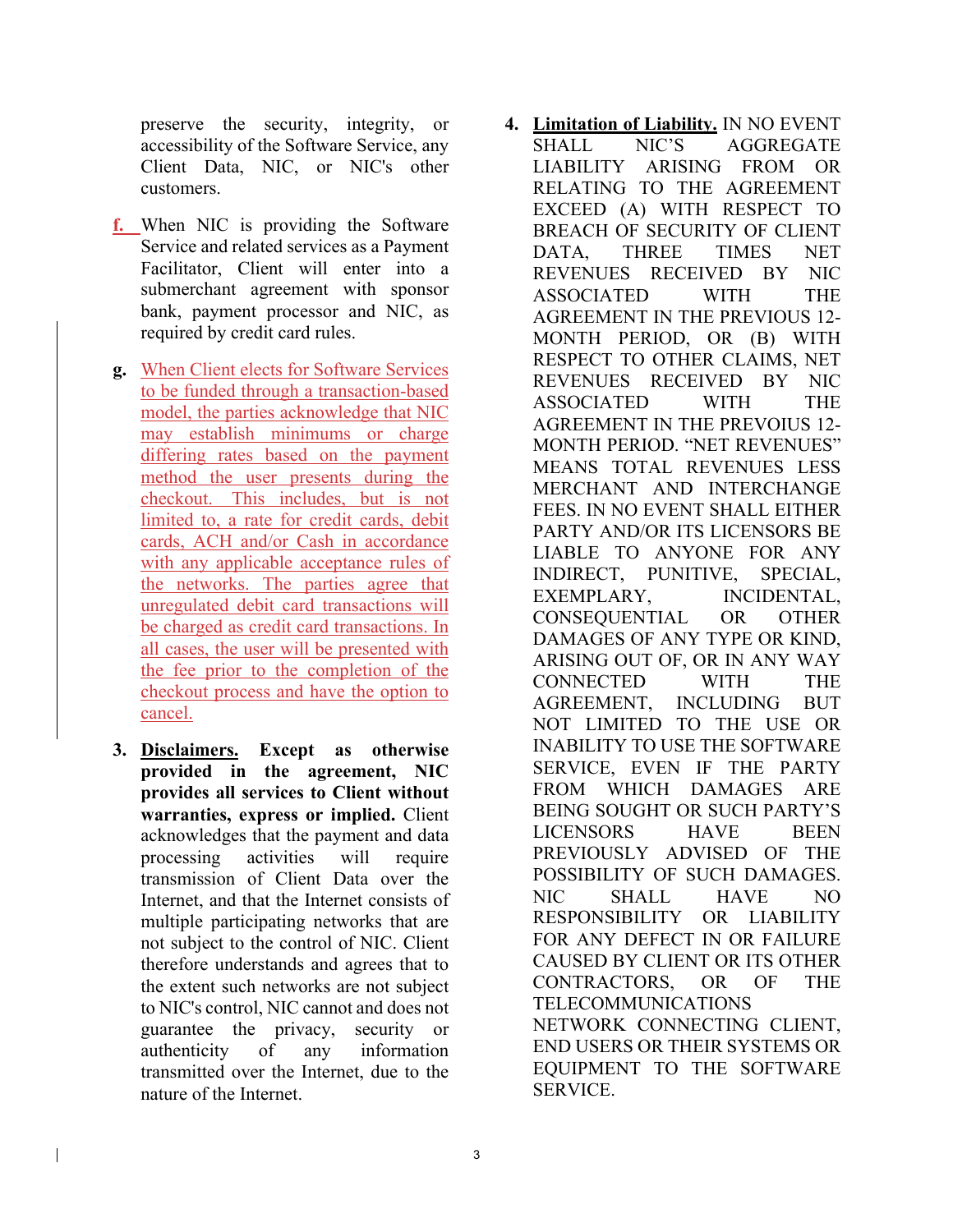preserve the security, integrity, or accessibility of the Software Service, any Client Data, NIC, or NIC's other customers.

- **f.** When NIC is providing the Software Service and related services as a Payment Facilitator, Client will enter into a submerchant agreement with sponsor bank, payment processor and NIC, as required by credit card rules.
- **g.** When Client elects for Software Services to be funded through a transaction-based model, the parties acknowledge that NIC may establish minimums or charge differing rates based on the payment method the user presents during the checkout. This includes, but is not limited to, a rate for credit cards, debit cards, ACH and/or Cash in accordance with any applicable acceptance rules of the networks. The parties agree that unregulated debit card transactions will be charged as credit card transactions. In all cases, the user will be presented with the fee prior to the completion of the checkout process and have the option to cancel.
- **3. Disclaimers. Except as otherwise provided in the agreement, NIC provides all services to Client without warranties, express or implied.** Client acknowledges that the payment and data processing activities will require transmission of Client Data over the Internet, and that the Internet consists of multiple participating networks that are not subject to the control of NIC. Client therefore understands and agrees that to the extent such networks are not subject to NIC's control, NIC cannot and does not guarantee the privacy, security or authenticity of any information transmitted over the Internet, due to the nature of the Internet.

 $\mathbf{I}$ 

**4. Limitation of Liability.** IN NO EVENT SHALL NIC'S AGGREGATE LIABILITY ARISING FROM OR RELATING TO THE AGREEMENT EXCEED (A) WITH RESPECT TO BREACH OF SECURITY OF CLIENT DATA, THREE TIMES NET REVENUES RECEIVED BY NIC ASSOCIATED WITH THE AGREEMENT IN THE PREVIOUS 12- MONTH PERIOD, OR (B) WITH RESPECT TO OTHER CLAIMS, NET REVENUES RECEIVED BY NIC ASSOCIATED WITH THE AGREEMENT IN THE PREVOIUS 12- MONTH PERIOD. "NET REVENUES" MEANS TOTAL REVENUES LESS MERCHANT AND INTERCHANGE FEES. IN NO EVENT SHALL EITHER PARTY AND/OR ITS LICENSORS BE LIABLE TO ANYONE FOR ANY INDIRECT, PUNITIVE, SPECIAL, EXEMPLARY, INCIDENTAL, CONSEQUENTIAL OR OTHER DAMAGES OF ANY TYPE OR KIND, ARISING OUT OF, OR IN ANY WAY CONNECTED WITH THE AGREEMENT, INCLUDING BUT NOT LIMITED TO THE USE OR INABILITY TO USE THE SOFTWARE SERVICE, EVEN IF THE PARTY FROM WHICH DAMAGES ARE BEING SOUGHT OR SUCH PARTY'S LICENSORS HAVE BEEN PREVIOUSLY ADVISED OF THE POSSIBILITY OF SUCH DAMAGES. NIC SHALL HAVE NO RESPONSIBILITY OR LIABILITY FOR ANY DEFECT IN OR FAILURE CAUSED BY CLIENT OR ITS OTHER CONTRACTORS, OR OF THE TELECOMMUNICATIONS NETWORK CONNECTING CLIENT, END USERS OR THEIR SYSTEMS OR EQUIPMENT TO THE SOFTWARE SERVICE.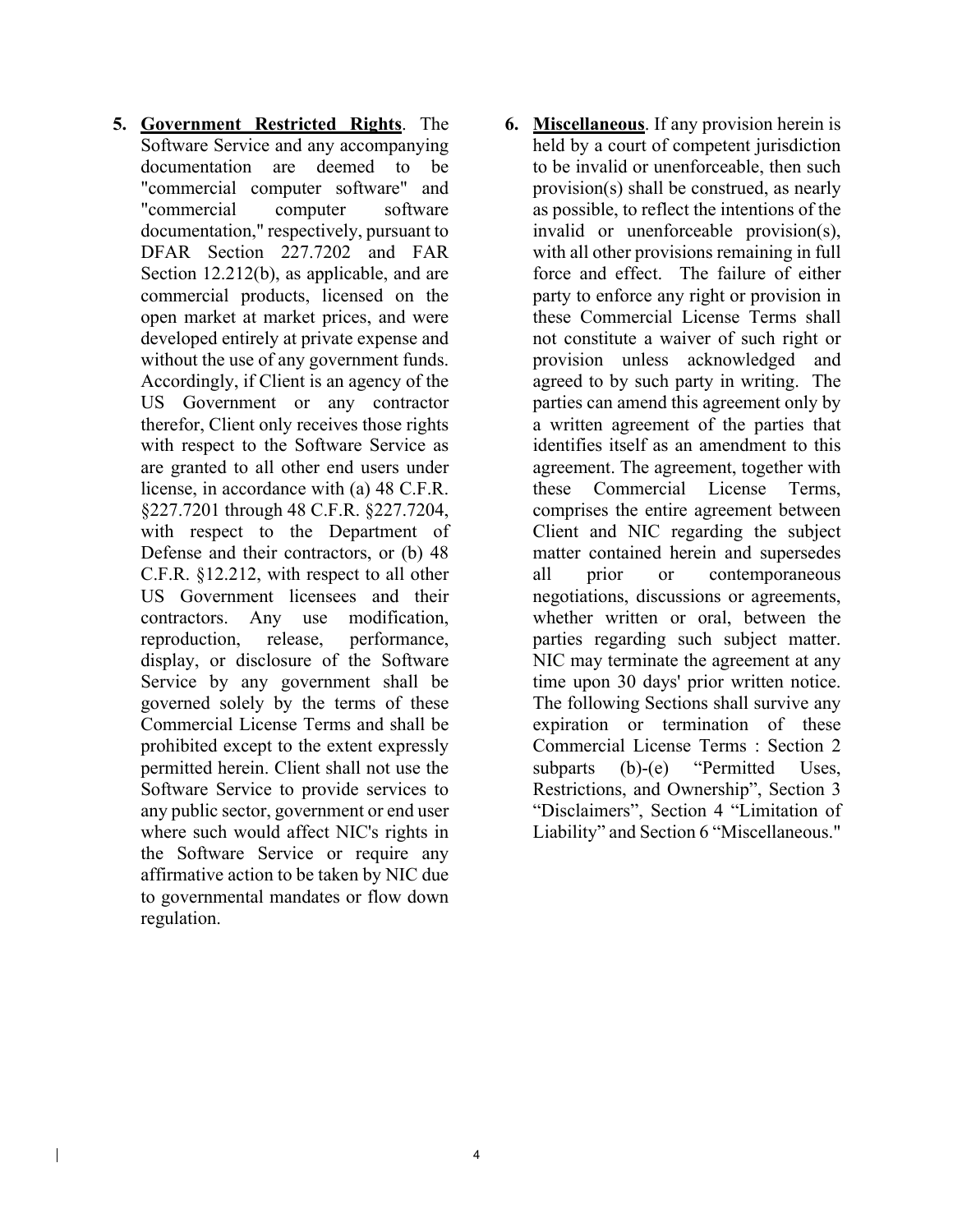**5. Government Restricted Rights**. The Software Service and any accompanying documentation are deemed to be "commercial computer software" and "commercial computer software documentation," respectively, pursuant to DFAR Section 227.7202 and FAR Section 12.212(b), as applicable, and are commercial products, licensed on the open market at market prices, and were developed entirely at private expense and without the use of any government funds. Accordingly, if Client is an agency of the US Government or any contractor therefor, Client only receives those rights with respect to the Software Service as are granted to all other end users under license, in accordance with (a) 48 C.F.R. §227.7201 through 48 C.F.R. §227.7204, with respect to the Department of Defense and their contractors, or (b) 48 C.F.R. §12.212, with respect to all other US Government licensees and their contractors. Any use modification, reproduction, release, performance, display, or disclosure of the Software Service by any government shall be governed solely by the terms of these Commercial License Terms and shall be prohibited except to the extent expressly permitted herein. Client shall not use the Software Service to provide services to any public sector, government or end user where such would affect NIC's rights in the Software Service or require any affirmative action to be taken by NIC due to governmental mandates or flow down regulation.

 $\mathsf{l}$ 

**6. Miscellaneous**. If any provision herein is held by a court of competent jurisdiction to be invalid or unenforceable, then such provision(s) shall be construed, as nearly as possible, to reflect the intentions of the invalid or unenforceable provision(s), with all other provisions remaining in full force and effect. The failure of either party to enforce any right or provision in these Commercial License Terms shall not constitute a waiver of such right or provision unless acknowledged and agreed to by such party in writing. The parties can amend this agreement only by a written agreement of the parties that identifies itself as an amendment to this agreement. The agreement, together with these Commercial License Terms, comprises the entire agreement between Client and NIC regarding the subject matter contained herein and supersedes all prior or contemporaneous negotiations, discussions or agreements, whether written or oral, between the parties regarding such subject matter. NIC may terminate the agreement at any time upon 30 days' prior written notice. The following Sections shall survive any expiration or termination of these Commercial License Terms : Section 2 subparts (b)-(e) "Permitted Uses, Restrictions, and Ownership", Section 3 "Disclaimers", Section 4 "Limitation of Liability" and Section 6 "Miscellaneous."